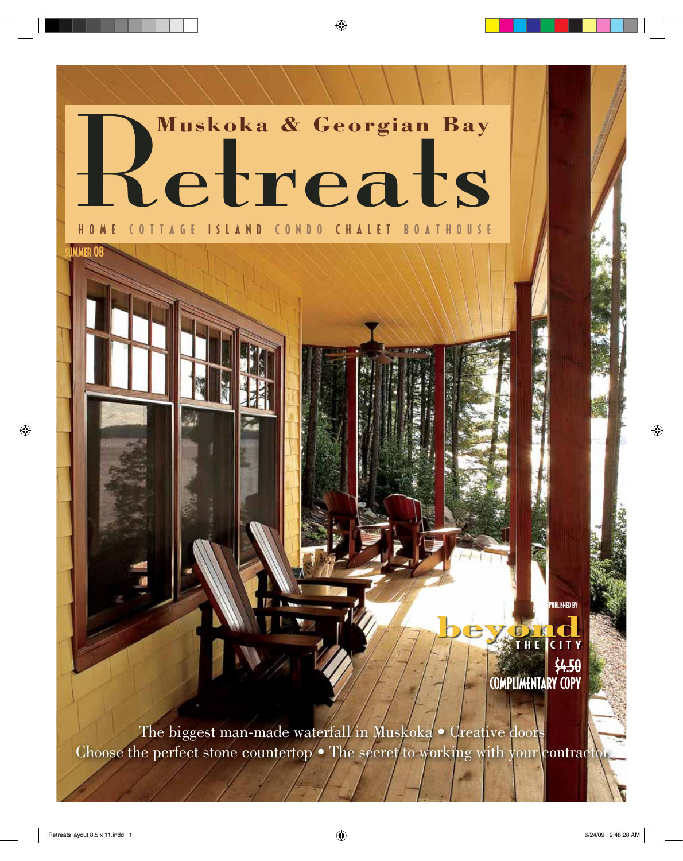

The biggest man-made waterfall in Muskoka • Creative doors Choose the perfect stone countertop • The secret to working with your contractor

 $\bigoplus$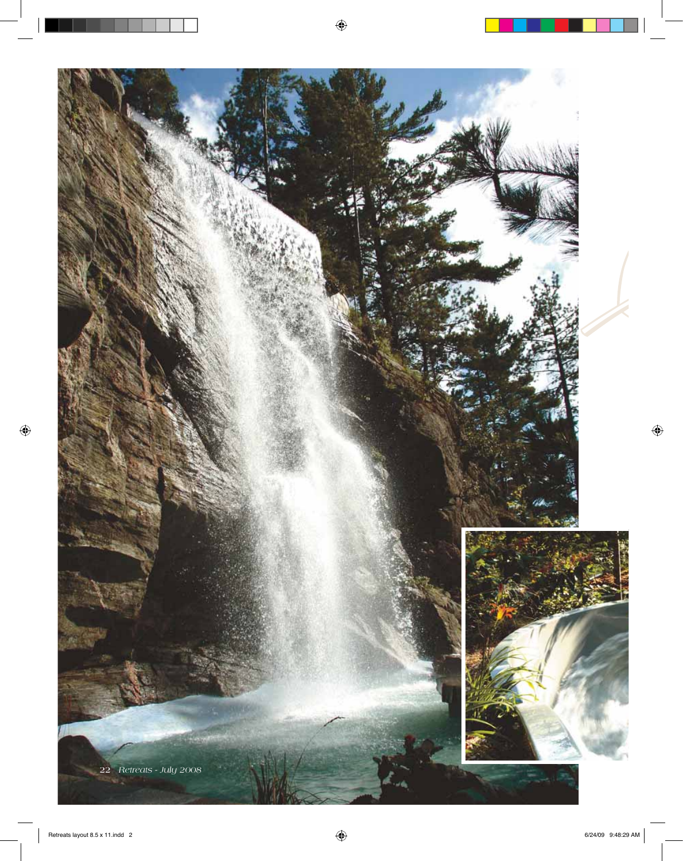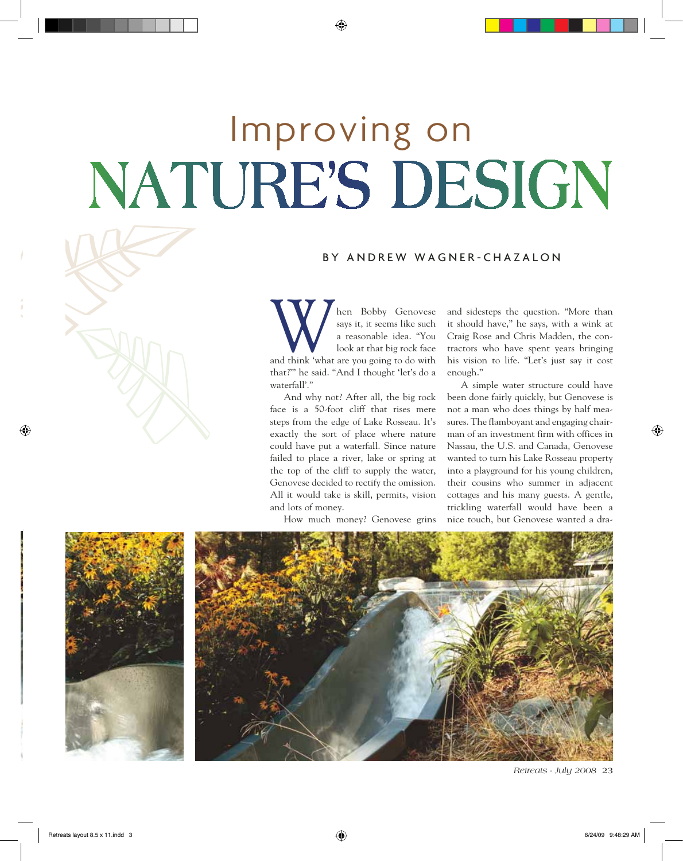## Improving on Improving on NATURE'S DESIGN

⊕

## BY ANDREW WAGNER-CHAZALON

hen Bobby Genovese says it, it seems like such it a reasonable idea. "You a reasonable idea. "You look at that big rock face look at that big rock face **AND** hen Bobby Genovese and think 'what are you going to do with here are you going to do with here are the same of  $\frac{1}{2}$  and think 'what are you going to do with here is the same of  $\frac{1}{2}$  and  $\frac{1}{2}$  and  $\frac{1}{$ that?" he said. "And I thought 'let's do a en waterfall'." waterfall'."

And why not? After all, the big rock And why not? After all, the big rock face is a 50-foot cliff that rises mere face is a 50-foot cliff that rises mere steps from the edge of Lake Rosseau. It's steps from the edge of Lake Rosseau. It's exactly the sort of place where nature exactly the sort of place where nature could have put a waterfall. Since nature could have put a waterfall. Since nature failed to place a river, lake or spring at failed to place a river, lake or spring at the top of the cliff to supply the water, in Genovese decided to rectify the omission. Genovese decided to rectify the omission. All it would take is skill, permits, vision All it would take is skill, permits, vision and lots of money. and lots of money.

How much money? Genovese grins How much money? Genovese grins

and sidesteps the question. "More than and sidesteps the question. "More than it should have," he says, with a wink at it should have," he says, with a wink at Craig Rose and Chris Madden, the con-Craig Rose and Chris Madden, the contractors who have spent years bringing tractors who have spent years bringing his vision to life. "Let's just say it cost his vision to life. "Let's just say it cost enough." enough."

A simple water structure could have A simple water structure could have been done fairly quickly, but Genovese is been done fairly quickly, but Genovese is not a man who does things by half mea-not a man who does things by half measures. The flamboyant and engaging chair-sures. The flamboyant and engaging chairman of an investment firm with offices in man of an investment firm with offices in Nassau, the U.S. and Canada, Genovese Nassau, the U.S. and Canada, Genovese wanted to turn his Lake Rosseau property wanted to turn his Lake Rosseau property into a playground for his young children, into a playground for his young children, their cousins who summer in adjacent their cousins who summer in adjacent cottages and his many guests. A gentle, cottages and his many guests. A gentle, trickling waterfall would have been a trickling waterfall would have been a nice touch, but Genovese wanted a dra-nice touch, but Genovese wanted a dra-



⊕



**22** *Retreats - July 2008 Retreats - July 2008* **23** *Retreats - July 2008* **23**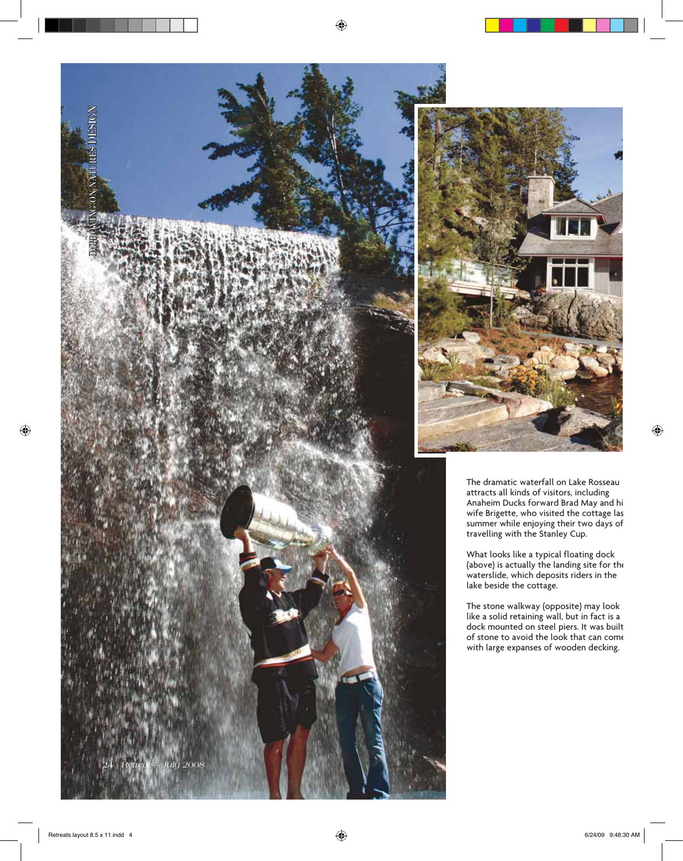



The dramatic waterfall on Lake Rosseau attracts all kinds of visitors, including Anaheim Ducks forward Brad May and his wife Brigette, who visited the cottage last summer while enjoying their two days of travelling with the Stanley Cup.

What looks like a typical floating dock (above) is actually the landing site for the waterslide, which deposits riders in the lake beside the cottage.

The stone walkway (opposite) may look like a solid retaining wall, but in fact is a dock mounted on steel piers. It was built of stone to avoid the look that can come with large expanses of wooden decking.

 $\bigoplus$ 

 $\bigoplus$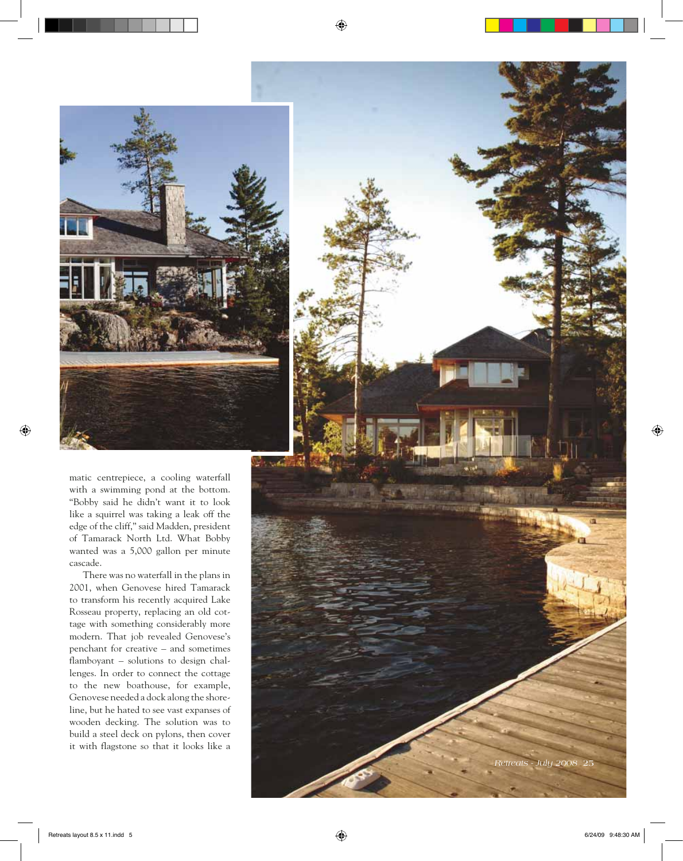matic centrepiece, a cooling waterfall with a swimming pond at the bottom. "Bobby said he didn't want it to look like a squirrel was taking a leak off the edge of the cliff," said Madden, president of Tamarack North Ltd. What Bobby wanted was a 5,000 gallon per minute cascade.

There was no waterfall in the plans in 2001, when Genovese hired Tamarack to transform his recently acquired Lake Rosseau property, replacing an old cottage with something considerably more modern. That job revealed Genovese's penchant for creative – and sometimes flamboyant – solutions to design challenges. In order to connect the cottage to the new boathouse, for example, Genovese needed a dock along the shoreline, but he hated to see vast expanses of wooden decking. The solution was to build a steel deck on pylons, then cover it with flagstone so that it looks like a

**24** *Retreats - July 2008 Retreats - July 2008* **25**





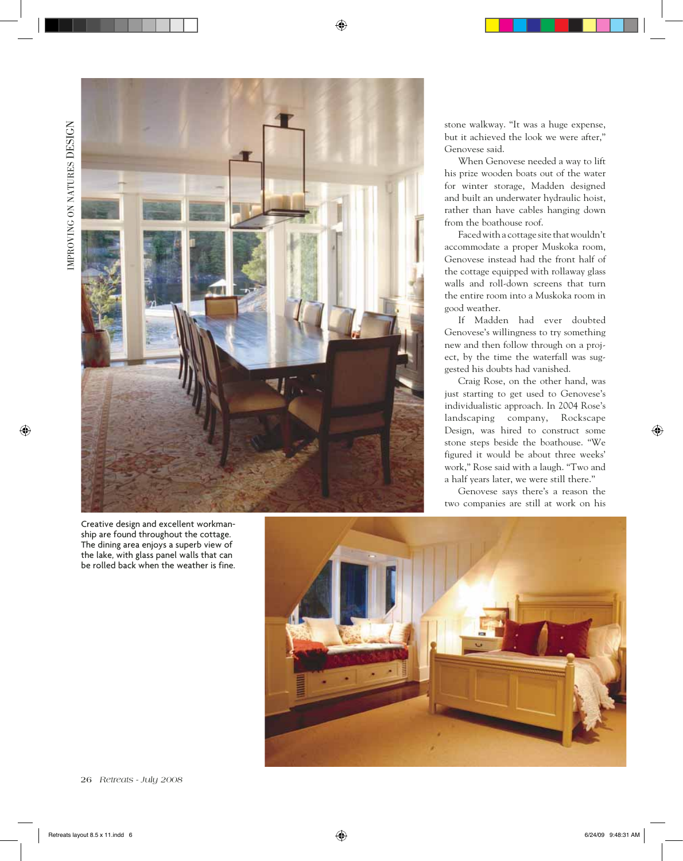IMPROVING ON NATURES DESIGN IMPROVING ON NATURES DESIGN

⊕



Creative design and excellent workmanship are found throughout the cottage. The dining area enjoys a superb view of the lake, with glass panel walls that can be rolled back when the weather is fine. stone walkway. "It was a huge expense, but it achieved the look we were after," Genovese said.

When Genovese needed a way to lift his prize wooden boats out of the water for winter storage, Madden designed and built an underwater hydraulic hoist, rather than have cables hanging down from the boathouse roof.

Faced with a cottage site that wouldn't accommodate a proper Muskoka room, Genovese instead had the front half of the cottage equipped with rollaway glass walls and roll-down screens that turn the entire room into a Muskoka room in good weather.

If Madden had ever doubted Genovese's willingness to try something new and then follow through on a project, by the time the waterfall was suggested his doubts had vanished.

Craig Rose, on the other hand, was just starting to get used to Genovese's individualistic approach. In 2004 Rose's landscaping company, Rockscape Design, was hired to construct some stone steps beside the boathouse. "We figured it would be about three weeks' work," Rose said with a laugh. "Two and a half years later, we were still there."

Genovese says there's a reason the two companies are still at work on his



**26** *Retreats - July 2008 Retreats - July 2008* **27**